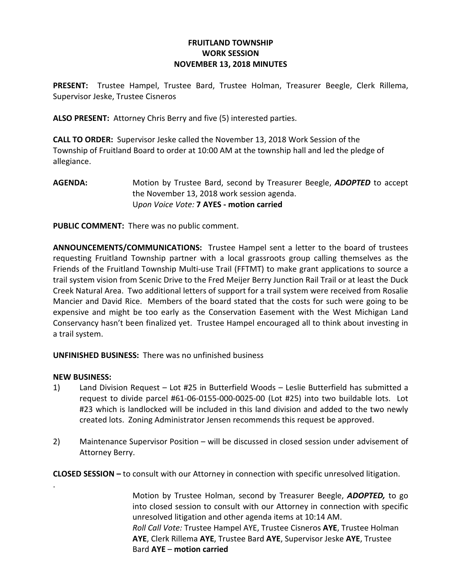## FRUITLAND TOWNSHIP WORK SESSION NOVEMBER 13, 2018 MINUTES

PRESENT: Trustee Hampel, Trustee Bard, Trustee Holman, Treasurer Beegle, Clerk Rillema, Supervisor Jeske, Trustee Cisneros

ALSO PRESENT: Attorney Chris Berry and five (5) interested parties.

CALL TO ORDER: Supervisor Jeske called the November 13, 2018 Work Session of the Township of Fruitland Board to order at 10:00 AM at the township hall and led the pledge of allegiance.

AGENDA: Motion by Trustee Bard, second by Treasurer Beegle, ADOPTED to accept the November 13, 2018 work session agenda. Upon Voice Vote: 7 AYES - motion carried

PUBLIC COMMENT: There was no public comment.

ANNOUNCEMENTS/COMMUNICATIONS: Trustee Hampel sent a letter to the board of trustees requesting Fruitland Township partner with a local grassroots group calling themselves as the Friends of the Fruitland Township Multi-use Trail (FFTMT) to make grant applications to source a trail system vision from Scenic Drive to the Fred Meijer Berry Junction Rail Trail or at least the Duck Creek Natural Area. Two additional letters of support for a trail system were received from Rosalie Mancier and David Rice. Members of the board stated that the costs for such were going to be expensive and might be too early as the Conservation Easement with the West Michigan Land Conservancy hasn't been finalized yet. Trustee Hampel encouraged all to think about investing in a trail system.

UNFINISHED BUSINESS: There was no unfinished business

## NEW BUSINESS:

.

- 1) Land Division Request Lot #25 in Butterfield Woods Leslie Butterfield has submitted a request to divide parcel #61-06-0155-000-0025-00 (Lot #25) into two buildable lots. Lot #23 which is landlocked will be included in this land division and added to the two newly created lots. Zoning Administrator Jensen recommends this request be approved.
- 2) Maintenance Supervisor Position will be discussed in closed session under advisement of Attorney Berry.

CLOSED SESSION – to consult with our Attorney in connection with specific unresolved litigation.

Motion by Trustee Holman, second by Treasurer Beegle, **ADOPTED**, to go into closed session to consult with our Attorney in connection with specific unresolved litigation and other agenda items at 10:14 AM. Roll Call Vote: Trustee Hampel AYE, Trustee Cisneros AYE, Trustee Holman AYE, Clerk Rillema AYE, Trustee Bard AYE, Supervisor Jeske AYE, Trustee Bard AYE – motion carried